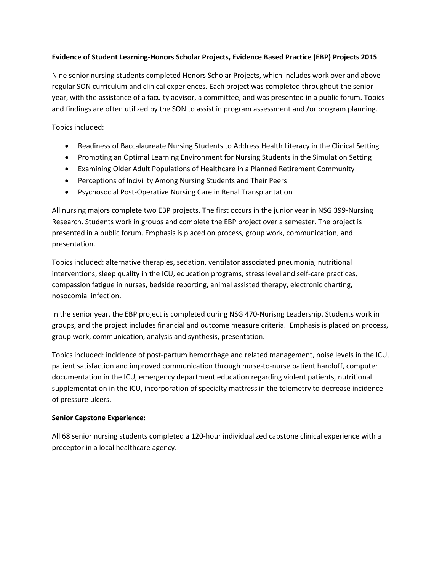# **Evidence of Student Learning-Honors Scholar Projects, Evidence Based Practice (EBP) Projects 2015**

Nine senior nursing students completed Honors Scholar Projects, which includes work over and above regular SON curriculum and clinical experiences. Each project was completed throughout the senior year, with the assistance of a faculty advisor, a committee, and was presented in a public forum. Topics and findings are often utilized by the SON to assist in program assessment and /or program planning.

Topics included:

- Readiness of Baccalaureate Nursing Students to Address Health Literacy in the Clinical Setting
- Promoting an Optimal Learning Environment for Nursing Students in the Simulation Setting
- Examining Older Adult Populations of Healthcare in a Planned Retirement Community
- Perceptions of Incivility Among Nursing Students and Their Peers
- Psychosocial Post-Operative Nursing Care in Renal Transplantation

All nursing majors complete two EBP projects. The first occurs in the junior year in NSG 399-Nursing Research. Students work in groups and complete the EBP project over a semester. The project is presented in a public forum. Emphasis is placed on process, group work, communication, and presentation.

Topics included: alternative therapies, sedation, ventilator associated pneumonia, nutritional interventions, sleep quality in the ICU, education programs, stress level and self-care practices, compassion fatigue in nurses, bedside reporting, animal assisted therapy, electronic charting, nosocomial infection.

In the senior year, the EBP project is completed during NSG 470-Nurisng Leadership. Students work in groups, and the project includes financial and outcome measure criteria. Emphasis is placed on process, group work, communication, analysis and synthesis, presentation.

Topics included: incidence of post-partum hemorrhage and related management, noise levels in the ICU, patient satisfaction and improved communication through nurse-to-nurse patient handoff, computer documentation in the ICU, emergency department education regarding violent patients, nutritional supplementation in the ICU, incorporation of specialty mattress in the telemetry to decrease incidence of pressure ulcers.

#### **Senior Capstone Experience:**

All 68 senior nursing students completed a 120-hour individualized capstone clinical experience with a preceptor in a local healthcare agency.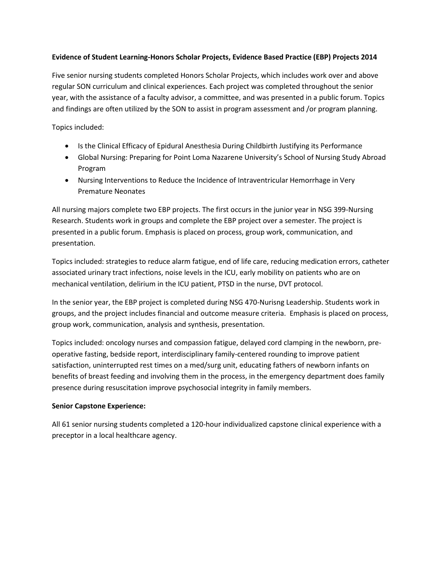# **Evidence of Student Learning-Honors Scholar Projects, Evidence Based Practice (EBP) Projects 2014**

Five senior nursing students completed Honors Scholar Projects, which includes work over and above regular SON curriculum and clinical experiences. Each project was completed throughout the senior year, with the assistance of a faculty advisor, a committee, and was presented in a public forum. Topics and findings are often utilized by the SON to assist in program assessment and /or program planning.

Topics included:

- Is the Clinical Efficacy of Epidural Anesthesia During Childbirth Justifying its Performance
- Global Nursing: Preparing for Point Loma Nazarene University's School of Nursing Study Abroad Program
- Nursing Interventions to Reduce the Incidence of Intraventricular Hemorrhage in Very Premature Neonates

All nursing majors complete two EBP projects. The first occurs in the junior year in NSG 399-Nursing Research. Students work in groups and complete the EBP project over a semester. The project is presented in a public forum. Emphasis is placed on process, group work, communication, and presentation.

Topics included: strategies to reduce alarm fatigue, end of life care, reducing medication errors, catheter associated urinary tract infections, noise levels in the ICU, early mobility on patients who are on mechanical ventilation, delirium in the ICU patient, PTSD in the nurse, DVT protocol.

In the senior year, the EBP project is completed during NSG 470-Nurisng Leadership. Students work in groups, and the project includes financial and outcome measure criteria. Emphasis is placed on process, group work, communication, analysis and synthesis, presentation.

Topics included: oncology nurses and compassion fatigue, delayed cord clamping in the newborn, preoperative fasting, bedside report, interdisciplinary family-centered rounding to improve patient satisfaction, uninterrupted rest times on a med/surg unit, educating fathers of newborn infants on benefits of breast feeding and involving them in the process, in the emergency department does family presence during resuscitation improve psychosocial integrity in family members.

# **Senior Capstone Experience:**

All 61 senior nursing students completed a 120-hour individualized capstone clinical experience with a preceptor in a local healthcare agency.